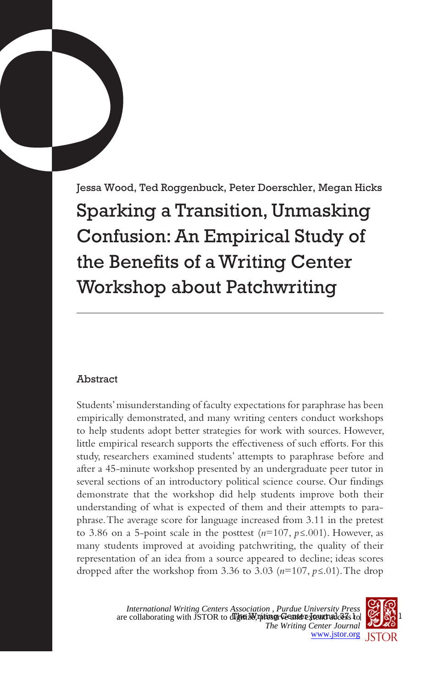Jessa Wood, Ted Roggenbuck, Peter Doerschler, Megan Hicks Sparking a Transition, Unmasking Confusion: An Empirical Study of the Benefits of a Writing Center Workshop about Patchwriting

# Abstract

Students' misunderstanding of faculty expectations for paraphrase has been empirically demonstrated, and many writing centers conduct workshops to help students adopt better strategies for work with sources. However, little empirical research supports the effectiveness of such efforts. For this study, researchers examined students' attempts to paraphrase before and after a 45-minute workshop presented by an undergraduate peer tutor in several sections of an introductory political science course. Our findings demonstrate that the workshop did help students improve both their understanding of what is expected of them and their attempts to paraphrase. The average score for language increased from 3.11 in the pretest to 3.86 on a 5-point scale in the posttest (*n*=107, *p≤*.001). However, as many students improved at avoiding patchwriting, the quality of their representation of an idea from a source appeared to decline; ideas scores dropped after the workshop from 3.36 to 3.03 (*n*=107, *p≤*.01). The drop

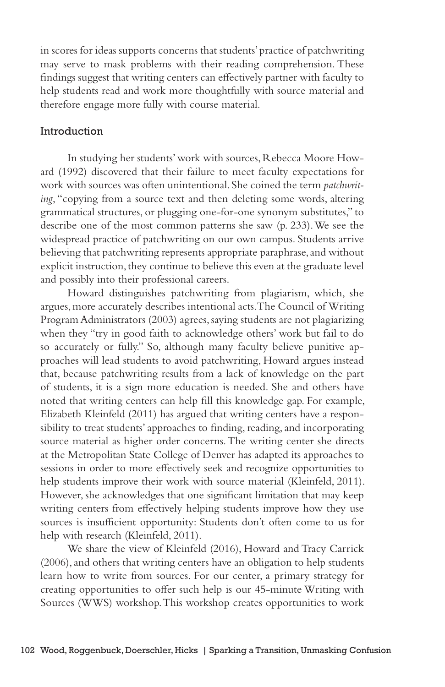in scores for ideas supports concerns that students' practice of patchwriting may serve to mask problems with their reading comprehension. These findings suggest that writing centers can effectively partner with faculty to help students read and work more thoughtfully with source material and therefore engage more fully with course material.

#### Introduction

In studying her students' work with sources, Rebecca Moore Howard (1992) discovered that their failure to meet faculty expectations for work with sources was often unintentional. She coined the term *patchwriting*, "copying from a source text and then deleting some words, altering grammatical structures, or plugging one-for-one synonym substitutes," to describe one of the most common patterns she saw (p. 233). We see the widespread practice of patchwriting on our own campus. Students arrive believing that patchwriting represents appropriate paraphrase, and without explicit instruction, they continue to believe this even at the graduate level and possibly into their professional careers.

Howard distinguishes patchwriting from plagiarism, which, she argues, more accurately describes intentional acts. The Council of Writing Program Administrators (2003) agrees, saying students are not plagiarizing when they "try in good faith to acknowledge others' work but fail to do so accurately or fully." So, although many faculty believe punitive approaches will lead students to avoid patchwriting, Howard argues instead that, because patchwriting results from a lack of knowledge on the part of students, it is a sign more education is needed. She and others have noted that writing centers can help fill this knowledge gap. For example, Elizabeth Kleinfeld (2011) has argued that writing centers have a responsibility to treat students' approaches to finding, reading, and incorporating source material as higher order concerns. The writing center she directs at the Metropolitan State College of Denver has adapted its approaches to sessions in order to more effectively seek and recognize opportunities to help students improve their work with source material (Kleinfeld, 2011). However, she acknowledges that one significant limitation that may keep writing centers from effectively helping students improve how they use sources is insufficient opportunity: Students don't often come to us for help with research (Kleinfeld, 2011).

We share the view of Kleinfeld (2016), Howard and Tracy Carrick (2006), and others that writing centers have an obligation to help students learn how to write from sources. For our center, a primary strategy for creating opportunities to offer such help is our 45-minute Writing with Sources (WWS) workshop. This workshop creates opportunities to work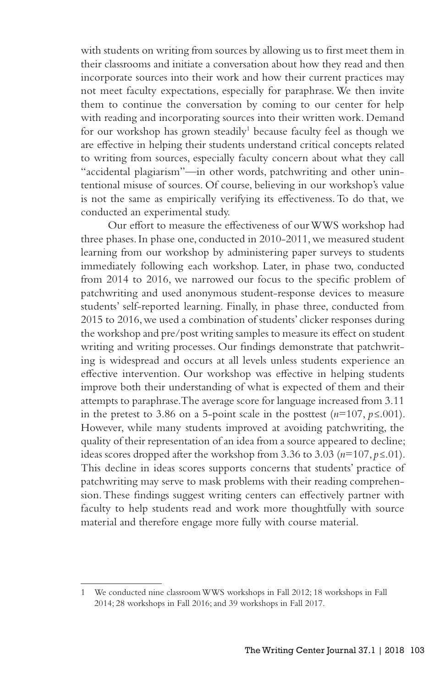with students on writing from sources by allowing us to first meet them in their classrooms and initiate a conversation about how they read and then incorporate sources into their work and how their current practices may not meet faculty expectations, especially for paraphrase. We then invite them to continue the conversation by coming to our center for help with reading and incorporating sources into their written work. Demand for our workshop has grown steadily<sup>1</sup> because faculty feel as though we are effective in helping their students understand critical concepts related to writing from sources, especially faculty concern about what they call "accidental plagiarism"—in other words, patchwriting and other unintentional misuse of sources. Of course, believing in our workshop's value is not the same as empirically verifying its effectiveness. To do that, we conducted an experimental study.

Our effort to measure the effectiveness of our WWS workshop had three phases. In phase one, conducted in 2010-2011, we measured student learning from our workshop by administering paper surveys to students immediately following each workshop. Later, in phase two, conducted from 2014 to 2016, we narrowed our focus to the specific problem of patchwriting and used anonymous student-response devices to measure students' self-reported learning. Finally, in phase three, conducted from 2015 to 2016, we used a combination of students' clicker responses during the workshop and pre/post writing samples to measure its effect on student writing and writing processes. Our findings demonstrate that patchwriting is widespread and occurs at all levels unless students experience an effective intervention. Our workshop was effective in helping students improve both their understanding of what is expected of them and their attempts to paraphrase. The average score for language increased from 3.11 in the pretest to 3.86 on a 5-point scale in the posttest  $(n=107, p \le 001)$ . However, while many students improved at avoiding patchwriting, the quality of their representation of an idea from a source appeared to decline; ideas scores dropped after the workshop from 3.36 to 3.03 ( $n=107$ ,  $p\leq 0.01$ ). This decline in ideas scores supports concerns that students' practice of patchwriting may serve to mask problems with their reading comprehension. These findings suggest writing centers can effectively partner with faculty to help students read and work more thoughtfully with source material and therefore engage more fully with course material.

We conducted nine classroom WWS workshops in Fall 2012; 18 workshops in Fall 2014; 28 workshops in Fall 2016; and 39 workshops in Fall 2017.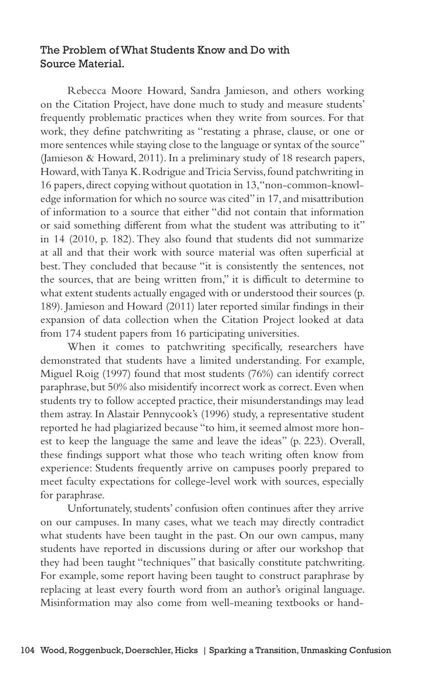### The Problem of What Students Know and Do with Source Material.

Rebecca Moore Howard, Sandra Jamieson, and others working on the Citation Project, have done much to study and measure students' frequently problematic practices when they write from sources. For that work, they define patchwriting as "restating a phrase, clause, or one or more sentences while staying close to the language or syntax of the source" (Jamieson & Howard, 2011). In a preliminary study of 18 research papers, Howard, with Tanya K. Rodrigue and Tricia Serviss, found patchwriting in 16 papers, direct copying without quotation in 13, "non-common-knowledge information for which no source was cited" in 17, and misattribution of information to a source that either "did not contain that information or said something different from what the student was attributing to it" in 14 (2010, p. 182). They also found that students did not summarize at all and that their work with source material was often superficial at best. They concluded that because "it is consistently the sentences, not the sources, that are being written from," it is difficult to determine to what extent students actually engaged with or understood their sources (p. 189). Jamieson and Howard (2011) later reported similar findings in their expansion of data collection when the Citation Project looked at data from 174 student papers from 16 participating universities.

When it comes to patchwriting specifically, researchers have demonstrated that students have a limited understanding. For example, Miguel Roig (1997) found that most students (76%) can identify correct paraphrase, but 50% also misidentify incorrect work as correct. Even when students try to follow accepted practice, their misunderstandings may lead them astray. In Alastair Pennycook's (1996) study, a representative student reported he had plagiarized because "to him, it seemed almost more honest to keep the language the same and leave the ideas" (p. 223). Overall, these findings support what those who teach writing often know from experience: Students frequently arrive on campuses poorly prepared to meet faculty expectations for college-level work with sources, especially for paraphrase.

Unfortunately, students' confusion often continues after they arrive on our campuses. In many cases, what we teach may directly contradict what students have been taught in the past. On our own campus, many students have reported in discussions during or after our workshop that they had been taught "techniques" that basically constitute patchwriting. For example, some report having been taught to construct paraphrase by replacing at least every fourth word from an author's original language. Misinformation may also come from well-meaning textbooks or hand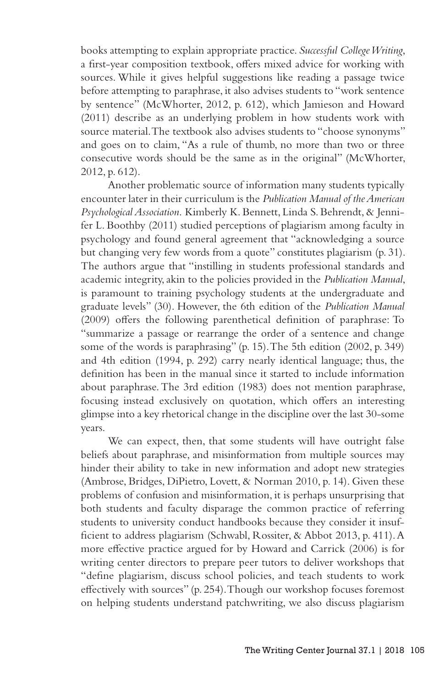books attempting to explain appropriate practice. *Successful College Writing*, a first-year composition textbook, offers mixed advice for working with sources. While it gives helpful suggestions like reading a passage twice before attempting to paraphrase, it also advises students to "work sentence by sentence" (McWhorter, 2012, p. 612), which Jamieson and Howard (2011) describe as an underlying problem in how students work with source material. The textbook also advises students to "choose synonyms" and goes on to claim, "As a rule of thumb, no more than two or three consecutive words should be the same as in the original" (McWhorter, 2012, p. 612).

Another problematic source of information many students typically encounter later in their curriculum is the *Publication Manual of the American Psychological Association*. Kimberly K. Bennett, Linda S. Behrendt, & Jennifer L. Boothby (2011) studied perceptions of plagiarism among faculty in psychology and found general agreement that "acknowledging a source but changing very few words from a quote" constitutes plagiarism (p. 31). The authors argue that "instilling in students professional standards and academic integrity, akin to the policies provided in the *Publication Manual*, is paramount to training psychology students at the undergraduate and graduate levels" (30). However, the 6th edition of the *Publication Manual*  (2009) offers the following parenthetical definition of paraphrase: To "summarize a passage or rearrange the order of a sentence and change some of the words is paraphrasing" (p. 15). The 5th edition (2002, p. 349) and 4th edition (1994, p. 292) carry nearly identical language; thus, the definition has been in the manual since it started to include information about paraphrase. The 3rd edition (1983) does not mention paraphrase, focusing instead exclusively on quotation, which offers an interesting glimpse into a key rhetorical change in the discipline over the last 30-some years.

We can expect, then, that some students will have outright false beliefs about paraphrase, and misinformation from multiple sources may hinder their ability to take in new information and adopt new strategies (Ambrose, Bridges, DiPietro, Lovett, & Norman 2010, p. 14). Given these problems of confusion and misinformation, it is perhaps unsurprising that both students and faculty disparage the common practice of referring students to university conduct handbooks because they consider it insufficient to address plagiarism (Schwabl, Rossiter, & Abbot 2013, p. 411). A more effective practice argued for by Howard and Carrick (2006) is for writing center directors to prepare peer tutors to deliver workshops that "define plagiarism, discuss school policies, and teach students to work effectively with sources" (p. 254). Though our workshop focuses foremost on helping students understand patchwriting, we also discuss plagiarism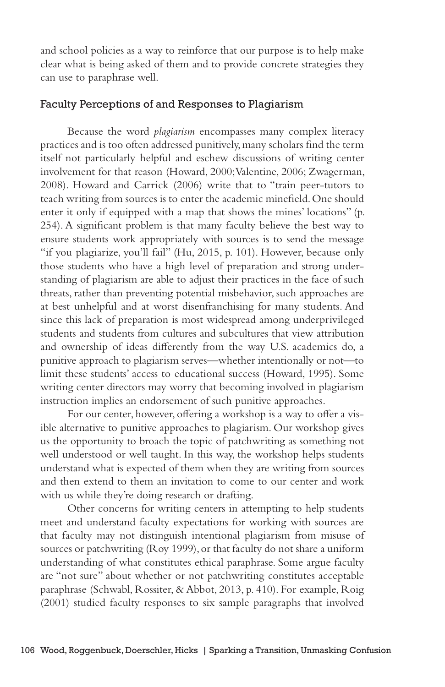and school policies as a way to reinforce that our purpose is to help make clear what is being asked of them and to provide concrete strategies they can use to paraphrase well.

#### Faculty Perceptions of and Responses to Plagiarism

Because the word *plagiarism* encompasses many complex literacy practices and is too often addressed punitively, many scholars find the term itself not particularly helpful and eschew discussions of writing center involvement for that reason (Howard, 2000; Valentine, 2006; Zwagerman, 2008). Howard and Carrick (2006) write that to "train peer-tutors to teach writing from sources is to enter the academic minefield. One should enter it only if equipped with a map that shows the mines' locations" (p. 254). A significant problem is that many faculty believe the best way to ensure students work appropriately with sources is to send the message "if you plagiarize, you'll fail" (Hu, 2015, p. 101). However, because only those students who have a high level of preparation and strong understanding of plagiarism are able to adjust their practices in the face of such threats, rather than preventing potential misbehavior, such approaches are at best unhelpful and at worst disenfranchising for many students. And since this lack of preparation is most widespread among underprivileged students and students from cultures and subcultures that view attribution and ownership of ideas differently from the way U.S. academics do, a punitive approach to plagiarism serves—whether intentionally or not—to limit these students' access to educational success (Howard, 1995). Some writing center directors may worry that becoming involved in plagiarism instruction implies an endorsement of such punitive approaches.

For our center, however, offering a workshop is a way to offer a visible alternative to punitive approaches to plagiarism. Our workshop gives us the opportunity to broach the topic of patchwriting as something not well understood or well taught. In this way, the workshop helps students understand what is expected of them when they are writing from sources and then extend to them an invitation to come to our center and work with us while they're doing research or drafting.

Other concerns for writing centers in attempting to help students meet and understand faculty expectations for working with sources are that faculty may not distinguish intentional plagiarism from misuse of sources or patchwriting (Roy 1999), or that faculty do not share a uniform understanding of what constitutes ethical paraphrase. Some argue faculty are "not sure" about whether or not patchwriting constitutes acceptable paraphrase (Schwabl, Rossiter, & Abbot, 2013, p. 410). For example, Roig (2001) studied faculty responses to six sample paragraphs that involved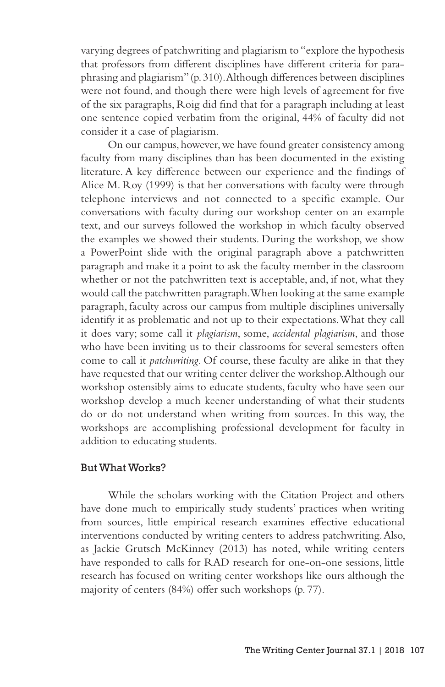varying degrees of patchwriting and plagiarism to "explore the hypothesis that professors from different disciplines have different criteria for paraphrasing and plagiarism" (p. 310). Although differences between disciplines were not found, and though there were high levels of agreement for five of the six paragraphs, Roig did find that for a paragraph including at least one sentence copied verbatim from the original, 44% of faculty did not consider it a case of plagiarism.

On our campus, however, we have found greater consistency among faculty from many disciplines than has been documented in the existing literature. A key difference between our experience and the findings of Alice M. Roy (1999) is that her conversations with faculty were through telephone interviews and not connected to a specific example. Our conversations with faculty during our workshop center on an example text, and our surveys followed the workshop in which faculty observed the examples we showed their students. During the workshop, we show a PowerPoint slide with the original paragraph above a patchwritten paragraph and make it a point to ask the faculty member in the classroom whether or not the patchwritten text is acceptable, and, if not, what they would call the patchwritten paragraph. When looking at the same example paragraph, faculty across our campus from multiple disciplines universally identify it as problematic and not up to their expectations. What they call it does vary; some call it *plagiarism*, some, *accidental plagiarism*, and those who have been inviting us to their classrooms for several semesters often come to call it *patchwriting*. Of course, these faculty are alike in that they have requested that our writing center deliver the workshop. Although our workshop ostensibly aims to educate students, faculty who have seen our workshop develop a much keener understanding of what their students do or do not understand when writing from sources. In this way, the workshops are accomplishing professional development for faculty in addition to educating students.

### But What Works?

While the scholars working with the Citation Project and others have done much to empirically study students' practices when writing from sources, little empirical research examines effective educational interventions conducted by writing centers to address patchwriting. Also, as Jackie Grutsch McKinney (2013) has noted, while writing centers have responded to calls for RAD research for one-on-one sessions, little research has focused on writing center workshops like ours although the majority of centers (84%) offer such workshops (p. 77).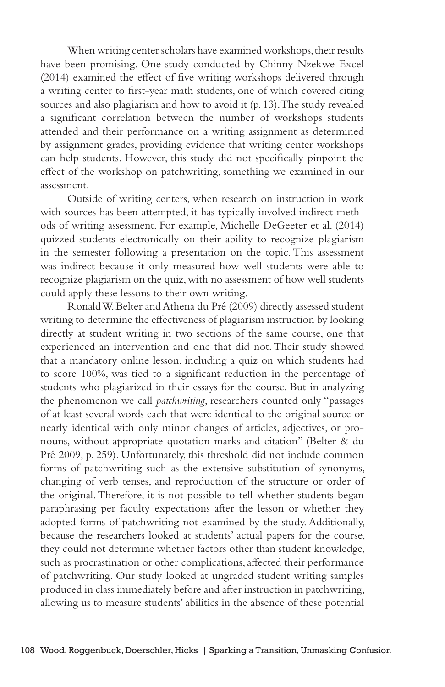When writing center scholars have examined workshops, their results have been promising. One study conducted by Chinny Nzekwe-Excel (2014) examined the effect of five writing workshops delivered through a writing center to first-year math students, one of which covered citing sources and also plagiarism and how to avoid it (p. 13). The study revealed a significant correlation between the number of workshops students attended and their performance on a writing assignment as determined by assignment grades, providing evidence that writing center workshops can help students. However, this study did not specifically pinpoint the effect of the workshop on patchwriting, something we examined in our assessment.

Outside of writing centers, when research on instruction in work with sources has been attempted, it has typically involved indirect methods of writing assessment. For example, Michelle DeGeeter et al. (2014) quizzed students electronically on their ability to recognize plagiarism in the semester following a presentation on the topic. This assessment was indirect because it only measured how well students were able to recognize plagiarism on the quiz, with no assessment of how well students could apply these lessons to their own writing.

Ronald W. Belter and Athena du Pré (2009) directly assessed student writing to determine the effectiveness of plagiarism instruction by looking directly at student writing in two sections of the same course, one that experienced an intervention and one that did not. Their study showed that a mandatory online lesson, including a quiz on which students had to score 100%, was tied to a significant reduction in the percentage of students who plagiarized in their essays for the course. But in analyzing the phenomenon we call *patchwriting*, researchers counted only "passages of at least several words each that were identical to the original source or nearly identical with only minor changes of articles, adjectives, or pronouns, without appropriate quotation marks and citation" (Belter & du Pré 2009, p. 259). Unfortunately, this threshold did not include common forms of patchwriting such as the extensive substitution of synonyms, changing of verb tenses, and reproduction of the structure or order of the original. Therefore, it is not possible to tell whether students began paraphrasing per faculty expectations after the lesson or whether they adopted forms of patchwriting not examined by the study. Additionally, because the researchers looked at students' actual papers for the course, they could not determine whether factors other than student knowledge, such as procrastination or other complications, affected their performance of patchwriting. Our study looked at ungraded student writing samples produced in class immediately before and after instruction in patchwriting, allowing us to measure students' abilities in the absence of these potential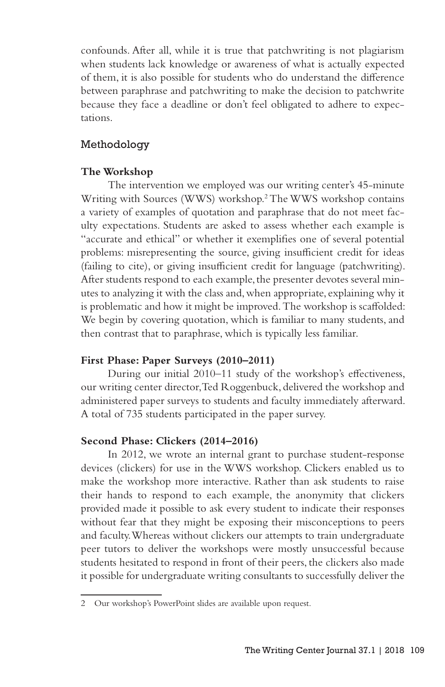confounds. After all, while it is true that patchwriting is not plagiarism when students lack knowledge or awareness of what is actually expected of them, it is also possible for students who do understand the difference between paraphrase and patchwriting to make the decision to patchwrite because they face a deadline or don't feel obligated to adhere to expectations.

### Methodology

### **The Workshop**

The intervention we employed was our writing center's 45-minute Writing with Sources (WWS) workshop.2 The WWS workshop contains a variety of examples of quotation and paraphrase that do not meet faculty expectations. Students are asked to assess whether each example is "accurate and ethical" or whether it exemplifies one of several potential problems: misrepresenting the source, giving insufficient credit for ideas (failing to cite), or giving insufficient credit for language (patchwriting). After students respond to each example, the presenter devotes several minutes to analyzing it with the class and, when appropriate, explaining why it is problematic and how it might be improved. The workshop is scaffolded: We begin by covering quotation, which is familiar to many students, and then contrast that to paraphrase, which is typically less familiar.

### **First Phase: Paper Surveys (2010–2011)**

During our initial 2010–11 study of the workshop's effectiveness, our writing center director, Ted Roggenbuck, delivered the workshop and administered paper surveys to students and faculty immediately afterward. A total of 735 students participated in the paper survey.

### **Second Phase: Clickers (2014–2016)**

In 2012, we wrote an internal grant to purchase student-response devices (clickers) for use in the WWS workshop. Clickers enabled us to make the workshop more interactive. Rather than ask students to raise their hands to respond to each example, the anonymity that clickers provided made it possible to ask every student to indicate their responses without fear that they might be exposing their misconceptions to peers and faculty. Whereas without clickers our attempts to train undergraduate peer tutors to deliver the workshops were mostly unsuccessful because students hesitated to respond in front of their peers, the clickers also made it possible for undergraduate writing consultants to successfully deliver the

<sup>2</sup> Our workshop's PowerPoint slides are available upon request.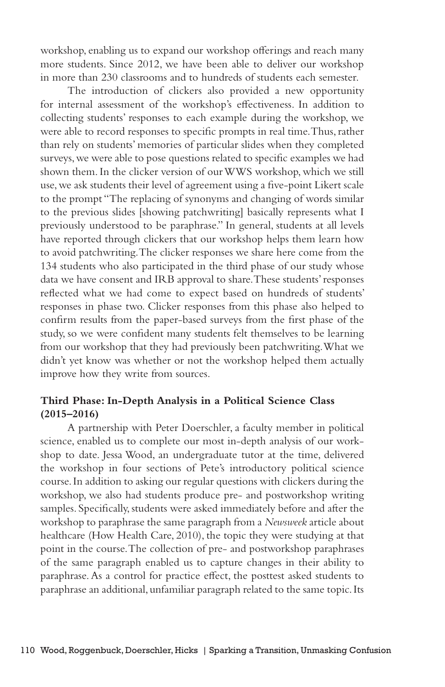workshop, enabling us to expand our workshop offerings and reach many more students. Since 2012, we have been able to deliver our workshop in more than 230 classrooms and to hundreds of students each semester.

The introduction of clickers also provided a new opportunity for internal assessment of the workshop's effectiveness. In addition to collecting students' responses to each example during the workshop, we were able to record responses to specific prompts in real time. Thus, rather than rely on students' memories of particular slides when they completed surveys, we were able to pose questions related to specific examples we had shown them. In the clicker version of our WWS workshop, which we still use, we ask students their level of agreement using a five-point Likert scale to the prompt "The replacing of synonyms and changing of words similar to the previous slides [showing patchwriting] basically represents what I previously understood to be paraphrase." In general, students at all levels have reported through clickers that our workshop helps them learn how to avoid patchwriting. The clicker responses we share here come from the 134 students who also participated in the third phase of our study whose data we have consent and IRB approval to share. These students' responses reflected what we had come to expect based on hundreds of students' responses in phase two. Clicker responses from this phase also helped to confirm results from the paper-based surveys from the first phase of the study, so we were confident many students felt themselves to be learning from our workshop that they had previously been patchwriting. What we didn't yet know was whether or not the workshop helped them actually improve how they write from sources.

### **Third Phase: In-Depth Analysis in a Political Science Class (2015–2016)**

A partnership with Peter Doerschler, a faculty member in political science, enabled us to complete our most in-depth analysis of our workshop to date. Jessa Wood, an undergraduate tutor at the time, delivered the workshop in four sections of Pete's introductory political science course. In addition to asking our regular questions with clickers during the workshop, we also had students produce pre- and postworkshop writing samples. Specifically, students were asked immediately before and after the workshop to paraphrase the same paragraph from a *Newsweek* article about healthcare (How Health Care, 2010), the topic they were studying at that point in the course. The collection of pre- and postworkshop paraphrases of the same paragraph enabled us to capture changes in their ability to paraphrase. As a control for practice effect, the posttest asked students to paraphrase an additional, unfamiliar paragraph related to the same topic. Its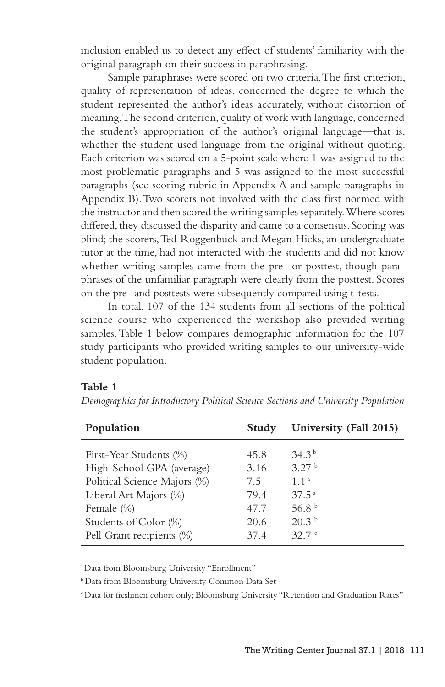inclusion enabled us to detect any effect of students' familiarity with the original paragraph on their success in paraphrasing.

Sample paraphrases were scored on two criteria. The first criterion, quality of representation of ideas, concerned the degree to which the student represented the author's ideas accurately, without distortion of meaning. The second criterion, quality of work with language, concerned the student's appropriation of the author's original language—that is, whether the student used language from the original without quoting. Each criterion was scored on a 5-point scale where 1 was assigned to the most problematic paragraphs and 5 was assigned to the most successful paragraphs (see scoring rubric in Appendix A and sample paragraphs in Appendix B). Two scorers not involved with the class first normed with the instructor and then scored the writing samples separately. Where scores differed, they discussed the disparity and came to a consensus. Scoring was blind; the scorers, Ted Roggenbuck and Megan Hicks, an undergraduate tutor at the time, had not interacted with the students and did not know whether writing samples came from the pre- or posttest, though paraphrases of the unfamiliar paragraph were clearly from the posttest. Scores on the pre- and posttests were subsequently compared using t-tests.

In total, 107 of the 134 students from all sections of the political science course who experienced the workshop also provided writing samples. Table 1 below compares demographic information for the 107 study participants who provided writing samples to our university-wide student population.

### **Table 1**

| Population                   | Study | University (Fall 2015) |
|------------------------------|-------|------------------------|
| First-Year Students (%)      | 45.8  | 34.3 <sup>b</sup>      |
| High-School GPA (average)    | 3.16  | 3.27 <sup>b</sup>      |
| Political Science Majors (%) | 7.5   | 1.1 <sup>a</sup>       |
| Liberal Art Majors (%)       | 79.4  | $37.5^{\circ}$         |
| Female (%)                   | 47.7  | 56.8 <sup>b</sup>      |
| Students of Color (%)        | 20.6  | 20.3 <sup>b</sup>      |
| Pell Grant recipients (%)    | 37.4  | 32.7c                  |

*Demographics for Introductory Political Science Sections and University Population*

a Data from Bloomsburg University "Enrollment"

b Data from Bloomsburg University Common Data Set

c Data for freshmen cohort only; Bloomsburg University "Retention and Graduation Rates"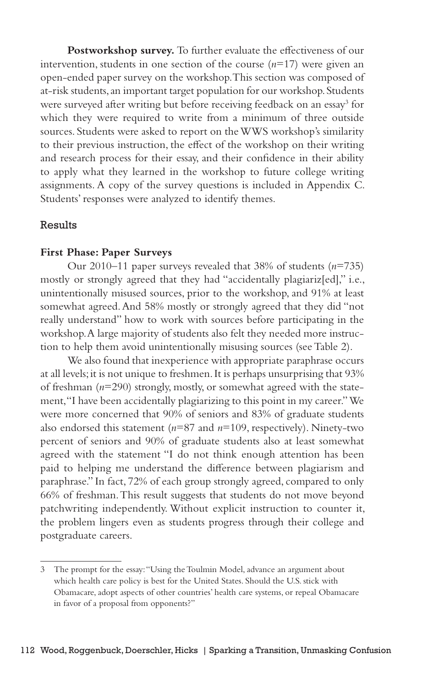Postworkshop survey. To further evaluate the effectiveness of our intervention, students in one section of the course (*n*=17) were given an open-ended paper survey on the workshop. This section was composed of at-risk students, an important target population for our workshop. Students were surveyed after writing but before receiving feedback on an essay<sup>3</sup> for which they were required to write from a minimum of three outside sources. Students were asked to report on the WWS workshop's similarity to their previous instruction, the effect of the workshop on their writing and research process for their essay, and their confidence in their ability to apply what they learned in the workshop to future college writing assignments. A copy of the survey questions is included in Appendix C. Students' responses were analyzed to identify themes.

### Results

#### **First Phase: Paper Surveys**

Our 2010–11 paper surveys revealed that 38% of students (*n*=735) mostly or strongly agreed that they had "accidentally plagiariz[ed]," i.e., unintentionally misused sources, prior to the workshop, and 91% at least somewhat agreed. And 58% mostly or strongly agreed that they did "not really understand" how to work with sources before participating in the workshop. A large majority of students also felt they needed more instruction to help them avoid unintentionally misusing sources (see Table 2).

We also found that inexperience with appropriate paraphrase occurs at all levels; it is not unique to freshmen. It is perhaps unsurprising that 93% of freshman (*n*=290) strongly, mostly, or somewhat agreed with the statement, "I have been accidentally plagiarizing to this point in my career." We were more concerned that 90% of seniors and 83% of graduate students also endorsed this statement (*n*=87 and *n*=109, respectively). Ninety-two percent of seniors and 90% of graduate students also at least somewhat agreed with the statement "I do not think enough attention has been paid to helping me understand the difference between plagiarism and paraphrase." In fact, 72% of each group strongly agreed, compared to only 66% of freshman. This result suggests that students do not move beyond patchwriting independently. Without explicit instruction to counter it, the problem lingers even as students progress through their college and postgraduate careers.

<sup>3</sup> The prompt for the essay: "Using the Toulmin Model, advance an argument about which health care policy is best for the United States. Should the U.S. stick with Obamacare, adopt aspects of other countries' health care systems, or repeal Obamacare in favor of a proposal from opponents?"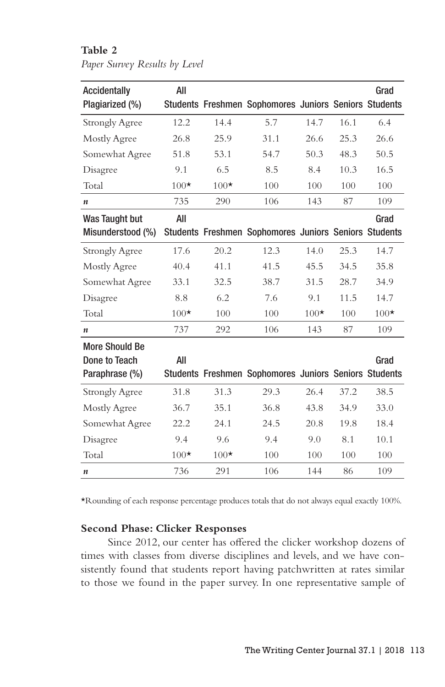### **Table 2**

*Paper Survey Results by Level*

| Accidentally<br>Plagiarized (%)                          | All    |        | Students Freshmen Sophomores Juniors Seniors Students |        |      | Grad   |
|----------------------------------------------------------|--------|--------|-------------------------------------------------------|--------|------|--------|
| <b>Strongly Agree</b>                                    | 12.2   | 14.4   | 5.7                                                   | 14.7   | 16.1 | 6.4    |
| Mostly Agree                                             | 26.8   | 25.9   | 31.1                                                  | 26.6   | 25.3 | 26.6   |
| Somewhat Agree                                           | 51.8   | 53.1   | 54.7                                                  | 50.3   | 48.3 | 50.5   |
| Disagree                                                 | 9.1    | 6.5    | 8.5                                                   | 8.4    | 10.3 | 16.5   |
| Total                                                    | $100*$ | $100*$ | 100                                                   | 100    | 100  | 100    |
| $\boldsymbol{n}$                                         | 735    | 290    | 106                                                   | 143    | 87   | 109    |
| Was Taught but                                           | All    |        |                                                       |        |      | Grad   |
| Misunderstood (%)                                        |        |        | Students Freshmen Sophomores Juniors Seniors Students |        |      |        |
| <b>Strongly Agree</b>                                    | 17.6   | 20.2   | 12.3                                                  | 14.0   | 25.3 | 14.7   |
| Mostly Agree                                             | 40.4   | 41.1   | 41.5                                                  | 45.5   | 34.5 | 35.8   |
| Somewhat Agree                                           | 33.1   | 32.5   | 38.7                                                  | 31.5   | 28.7 | 34.9   |
| Disagree                                                 | 8.8    | 6.2    | 7.6                                                   | 9.1    | 11.5 | 14.7   |
| Total                                                    | $100*$ | 100    | 100                                                   | $100*$ | 100  | $100*$ |
| n                                                        | 737    | 292    | 106                                                   | 143    | 87   | 109    |
| <b>More Should Be</b><br>Done to Teach<br>Paraphrase (%) | All    |        | Students Freshmen Sophomores Juniors Seniors Students |        |      | Grad   |
| <b>Strongly Agree</b>                                    | 31.8   | 31.3   | 29.3                                                  | 26.4   | 37.2 | 38.5   |
| Mostly Agree                                             | 36.7   | 35.1   | 36.8                                                  | 43.8   | 34.9 | 33.0   |
| Somewhat Agree                                           | 22.2   | 24.1   | 24.5                                                  | 20.8   | 19.8 | 18.4   |
| Disagree                                                 | 9.4    | 9.6    | 9.4                                                   | 9.0    | 8.1  | 10.1   |
| Total                                                    | $100*$ | $100*$ | 100                                                   | 100    | 100  | 100    |
| $\boldsymbol{n}$                                         | 736    | 291    | 106                                                   | 144    | 86   | 109    |

\*Rounding of each response percentage produces totals that do not always equal exactly 100%.

## **Second Phase: Clicker Responses**

Since 2012, our center has offered the clicker workshop dozens of times with classes from diverse disciplines and levels, and we have consistently found that students report having patchwritten at rates similar to those we found in the paper survey. In one representative sample of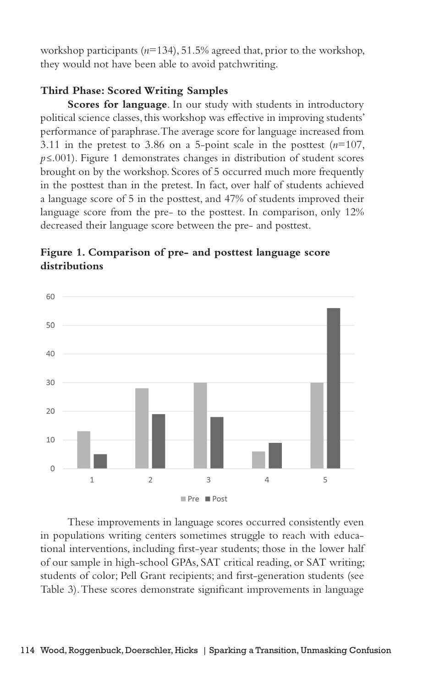workshop participants (*n*=134), 51.5% agreed that, prior to the workshop, they would not have been able to avoid patchwriting.

### **Third Phase: Scored Writing Samples**

**Scores for language**. In our study with students in introductory political science classes, this workshop was effective in improving students' performance of paraphrase. The average score for language increased from 3.11 in the pretest to 3.86 on a 5-point scale in the posttest  $(n=107,$ *p*≤.001). Figure 1 demonstrates changes in distribution of student scores brought on by the workshop. Scores of 5 occurred much more frequently in the posttest than in the pretest. In fact, over half of students achieved a language score of 5 in the posttest, and 47% of students improved their language score from the pre- to the posttest. In comparison, only 12% decreased their language score between the pre- and posttest.

## **Figure 1. Comparison of pre- and posttest language score distributions**



These improvements in language scores occurred consistently even in populations writing centers sometimes struggle to reach with educational interventions, including first-year students; those in the lower half of our sample in high-school GPAs, SAT critical reading, or SAT writing; students of color; Pell Grant recipients; and first-generation students (see Table 3). These scores demonstrate significant improvements in language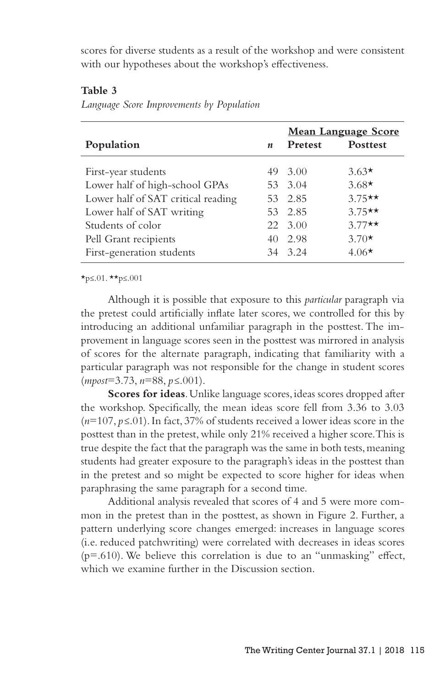scores for diverse students as a result of the workshop and were consistent with our hypotheses about the workshop's effectiveness.

### **Table 3**

|  | Language Score Improvements by Population |  |  |  |
|--|-------------------------------------------|--|--|--|
|--|-------------------------------------------|--|--|--|

|                                    |                  | <b>Mean Language Score</b> |                 |  |
|------------------------------------|------------------|----------------------------|-----------------|--|
| Population                         | $\boldsymbol{n}$ | Pretest                    | <b>Posttest</b> |  |
| First-year students                |                  | 49 3.00                    | $3.63*$         |  |
| Lower half of high-school GPAs     |                  | 53 3.04                    | $3.68*$         |  |
| Lower half of SAT critical reading |                  | 53 2.85                    | $3.75***$       |  |
| Lower half of SAT writing          |                  | 53 2.85                    | $3.75***$       |  |
| Students of color                  |                  | 22 3.00                    | $3.77**$        |  |
| Pell Grant recipients              |                  | 40 2.98                    | $3.70*$         |  |
| First-generation students          |                  | 34 3.24                    | 4.06 $\star$    |  |

\*p≤.01. \*\*p≤.001

Although it is possible that exposure to this *particular* paragraph via the pretest could artificially inflate later scores, we controlled for this by introducing an additional unfamiliar paragraph in the posttest. The improvement in language scores seen in the posttest was mirrored in analysis of scores for the alternate paragraph, indicating that familiarity with a particular paragraph was not responsible for the change in student scores (*mpost*=3.73, *n*=88, *p≤*.001).

**Scores for ideas**. Unlike language scores, ideas scores dropped after the workshop. Specifically, the mean ideas score fell from 3.36 to 3.03 (*n*=107, *p≤*.01). In fact, 37% of students received a lower ideas score in the posttest than in the pretest, while only 21% received a higher score. This is true despite the fact that the paragraph was the same in both tests, meaning students had greater exposure to the paragraph's ideas in the posttest than in the pretest and so might be expected to score higher for ideas when paraphrasing the same paragraph for a second time.

Additional analysis revealed that scores of 4 and 5 were more common in the pretest than in the posttest, as shown in Figure 2. Further, a pattern underlying score changes emerged: increases in language scores (i.e. reduced patchwriting) were correlated with decreases in ideas scores (p=.610). We believe this correlation is due to an "unmasking" effect, which we examine further in the Discussion section.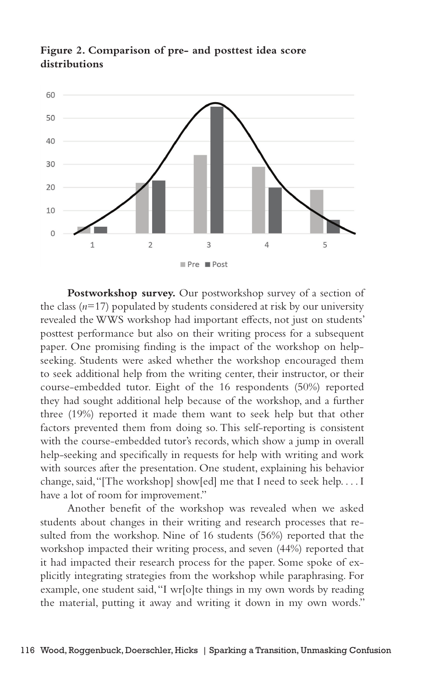

**Figure 2. Comparison of pre- and posttest idea score distributions**

**Postworkshop survey.** Our postworkshop survey of a section of the class  $(n=17)$  populated by students considered at risk by our university revealed the WWS workshop had important effects, not just on students' posttest performance but also on their writing process for a subsequent paper. One promising finding is the impact of the workshop on helpseeking. Students were asked whether the workshop encouraged them to seek additional help from the writing center, their instructor, or their course-embedded tutor. Eight of the 16 respondents (50%) reported they had sought additional help because of the workshop, and a further three (19%) reported it made them want to seek help but that other factors prevented them from doing so. This self-reporting is consistent with the course-embedded tutor's records, which show a jump in overall help-seeking and specifically in requests for help with writing and work with sources after the presentation. One student, explaining his behavior change, said, "[The workshop] show[ed] me that I need to seek help. . . . I have a lot of room for improvement."

Another benefit of the workshop was revealed when we asked students about changes in their writing and research processes that resulted from the workshop. Nine of 16 students (56%) reported that the workshop impacted their writing process, and seven (44%) reported that it had impacted their research process for the paper. Some spoke of explicitly integrating strategies from the workshop while paraphrasing. For example, one student said, "I wr[o]te things in my own words by reading the material, putting it away and writing it down in my own words."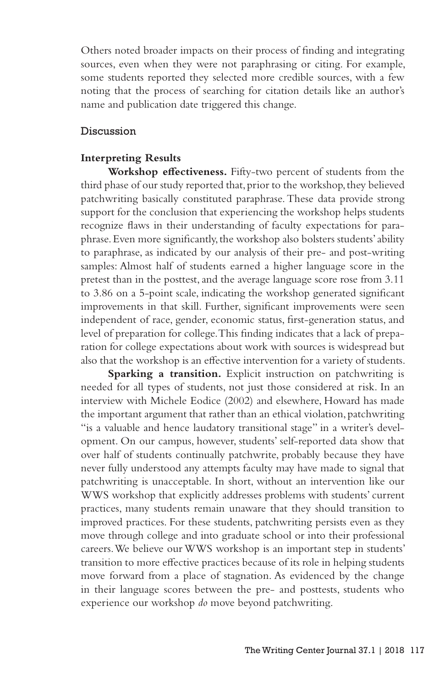Others noted broader impacts on their process of finding and integrating sources, even when they were not paraphrasing or citing. For example, some students reported they selected more credible sources, with a few noting that the process of searching for citation details like an author's name and publication date triggered this change.

### Discussion

### **Interpreting Results**

**Workshop effectiveness.** Fifty-two percent of students from the third phase of our study reported that, prior to the workshop, they believed patchwriting basically constituted paraphrase. These data provide strong support for the conclusion that experiencing the workshop helps students recognize flaws in their understanding of faculty expectations for paraphrase. Even more significantly, the workshop also bolsters students' ability to paraphrase, as indicated by our analysis of their pre- and post-writing samples: Almost half of students earned a higher language score in the pretest than in the posttest, and the average language score rose from 3.11 to 3.86 on a 5-point scale, indicating the workshop generated significant improvements in that skill. Further, significant improvements were seen independent of race, gender, economic status, first-generation status, and level of preparation for college. This finding indicates that a lack of preparation for college expectations about work with sources is widespread but also that the workshop is an effective intervention for a variety of students.

**Sparking a transition.** Explicit instruction on patchwriting is needed for all types of students, not just those considered at risk. In an interview with Michele Eodice (2002) and elsewhere, Howard has made the important argument that rather than an ethical violation, patchwriting "is a valuable and hence laudatory transitional stage" in a writer's development. On our campus, however, students' self-reported data show that over half of students continually patchwrite, probably because they have never fully understood any attempts faculty may have made to signal that patchwriting is unacceptable. In short, without an intervention like our WWS workshop that explicitly addresses problems with students' current practices, many students remain unaware that they should transition to improved practices. For these students, patchwriting persists even as they move through college and into graduate school or into their professional careers. We believe our WWS workshop is an important step in students' transition to more effective practices because of its role in helping students move forward from a place of stagnation. As evidenced by the change in their language scores between the pre- and posttests, students who experience our workshop *do* move beyond patchwriting.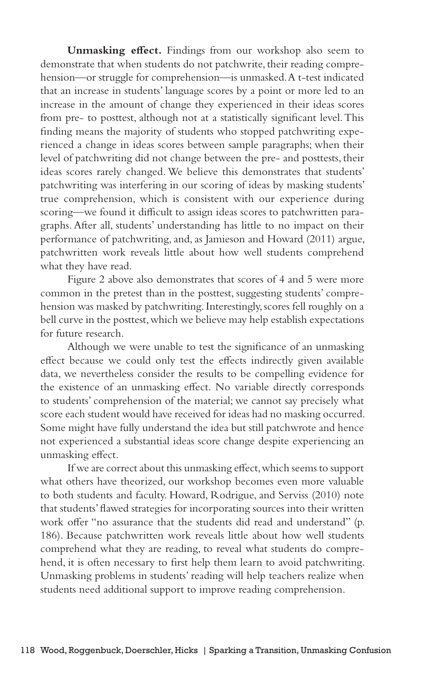**Unmasking effect.** Findings from our workshop also seem to demonstrate that when students do not patchwrite, their reading comprehension—or struggle for comprehension—is unmasked. A t-test indicated that an increase in students' language scores by a point or more led to an increase in the amount of change they experienced in their ideas scores from pre- to posttest, although not at a statistically significant level. This finding means the majority of students who stopped patchwriting experienced a change in ideas scores between sample paragraphs; when their level of patchwriting did not change between the pre- and posttests, their ideas scores rarely changed. We believe this demonstrates that students' patchwriting was interfering in our scoring of ideas by masking students' true comprehension, which is consistent with our experience during scoring—we found it difficult to assign ideas scores to patchwritten paragraphs. After all, students' understanding has little to no impact on their performance of patchwriting, and, as Jamieson and Howard (2011) argue, patchwritten work reveals little about how well students comprehend what they have read.

Figure 2 above also demonstrates that scores of 4 and 5 were more common in the pretest than in the posttest, suggesting students' comprehension was masked by patchwriting. Interestingly, scores fell roughly on a bell curve in the posttest, which we believe may help establish expectations for future research.

Although we were unable to test the significance of an unmasking effect because we could only test the effects indirectly given available data, we nevertheless consider the results to be compelling evidence for the existence of an unmasking effect. No variable directly corresponds to students' comprehension of the material; we cannot say precisely what score each student would have received for ideas had no masking occurred. Some might have fully understand the idea but still patchwrote and hence not experienced a substantial ideas score change despite experiencing an unmasking effect.

If we are correct about this unmasking effect, which seems to support what others have theorized, our workshop becomes even more valuable to both students and faculty. Howard, Rodrigue, and Serviss (2010) note that students' flawed strategies for incorporating sources into their written work offer "no assurance that the students did read and understand" (p. 186). Because patchwritten work reveals little about how well students comprehend what they are reading, to reveal what students do comprehend, it is often necessary to first help them learn to avoid patchwriting. Unmasking problems in students' reading will help teachers realize when students need additional support to improve reading comprehension.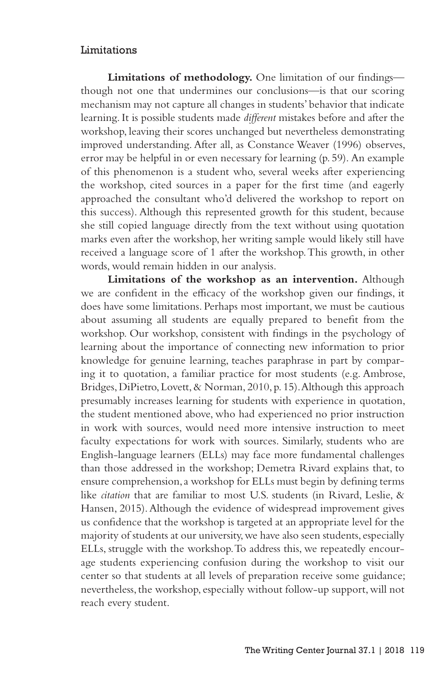#### Limitations

**Limitations of methodology.** One limitation of our findings though not one that undermines our conclusions—is that our scoring mechanism may not capture all changes in students' behavior that indicate learning. It is possible students made *different* mistakes before and after the workshop, leaving their scores unchanged but nevertheless demonstrating improved understanding. After all, as Constance Weaver (1996) observes, error may be helpful in or even necessary for learning (p. 59). An example of this phenomenon is a student who, several weeks after experiencing the workshop, cited sources in a paper for the first time (and eagerly approached the consultant who'd delivered the workshop to report on this success). Although this represented growth for this student, because she still copied language directly from the text without using quotation marks even after the workshop, her writing sample would likely still have received a language score of 1 after the workshop. This growth, in other words, would remain hidden in our analysis.

**Limitations of the workshop as an intervention.** Although we are confident in the efficacy of the workshop given our findings, it does have some limitations. Perhaps most important, we must be cautious about assuming all students are equally prepared to benefit from the workshop. Our workshop, consistent with findings in the psychology of learning about the importance of connecting new information to prior knowledge for genuine learning, teaches paraphrase in part by comparing it to quotation, a familiar practice for most students (e.g. Ambrose, Bridges, DiPietro, Lovett, & Norman, 2010, p. 15). Although this approach presumably increases learning for students with experience in quotation, the student mentioned above, who had experienced no prior instruction in work with sources, would need more intensive instruction to meet faculty expectations for work with sources. Similarly, students who are English-language learners (ELLs) may face more fundamental challenges than those addressed in the workshop; Demetra Rivard explains that, to ensure comprehension, a workshop for ELLs must begin by defining terms like *citation* that are familiar to most U.S. students (in Rivard, Leslie, & Hansen, 2015). Although the evidence of widespread improvement gives us confidence that the workshop is targeted at an appropriate level for the majority of students at our university, we have also seen students, especially ELLs, struggle with the workshop. To address this, we repeatedly encourage students experiencing confusion during the workshop to visit our center so that students at all levels of preparation receive some guidance; nevertheless, the workshop, especially without follow-up support, will not reach every student.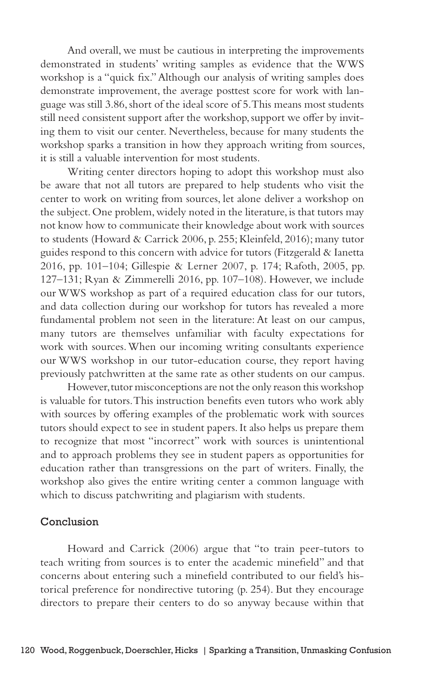And overall, we must be cautious in interpreting the improvements demonstrated in students' writing samples as evidence that the WWS workshop is a "quick fix." Although our analysis of writing samples does demonstrate improvement, the average posttest score for work with language was still 3.86, short of the ideal score of 5. This means most students still need consistent support after the workshop, support we offer by inviting them to visit our center. Nevertheless, because for many students the workshop sparks a transition in how they approach writing from sources, it is still a valuable intervention for most students.

Writing center directors hoping to adopt this workshop must also be aware that not all tutors are prepared to help students who visit the center to work on writing from sources, let alone deliver a workshop on the subject. One problem, widely noted in the literature, is that tutors may not know how to communicate their knowledge about work with sources to students (Howard & Carrick 2006, p. 255; Kleinfeld, 2016); many tutor guides respond to this concern with advice for tutors (Fitzgerald & Ianetta 2016, pp. 101–104; Gillespie & Lerner 2007, p. 174; Rafoth, 2005, pp. 127–131; Ryan & Zimmerelli 2016, pp. 107–108). However, we include our WWS workshop as part of a required education class for our tutors, and data collection during our workshop for tutors has revealed a more fundamental problem not seen in the literature: At least on our campus, many tutors are themselves unfamiliar with faculty expectations for work with sources. When our incoming writing consultants experience our WWS workshop in our tutor-education course, they report having previously patchwritten at the same rate as other students on our campus.

However, tutor misconceptions are not the only reason this workshop is valuable for tutors. This instruction benefits even tutors who work ably with sources by offering examples of the problematic work with sources tutors should expect to see in student papers. It also helps us prepare them to recognize that most "incorrect" work with sources is unintentional and to approach problems they see in student papers as opportunities for education rather than transgressions on the part of writers. Finally, the workshop also gives the entire writing center a common language with which to discuss patchwriting and plagiarism with students.

#### Conclusion

Howard and Carrick (2006) argue that "to train peer-tutors to teach writing from sources is to enter the academic minefield" and that concerns about entering such a minefield contributed to our field's historical preference for nondirective tutoring (p. 254). But they encourage directors to prepare their centers to do so anyway because within that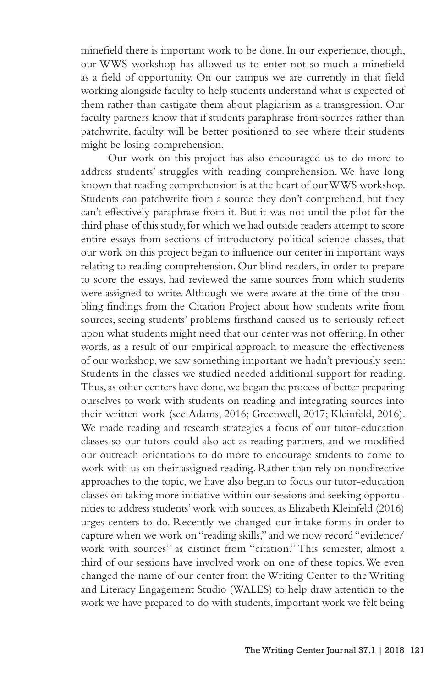minefield there is important work to be done. In our experience, though, our WWS workshop has allowed us to enter not so much a minefield as a field of opportunity. On our campus we are currently in that field working alongside faculty to help students understand what is expected of them rather than castigate them about plagiarism as a transgression. Our faculty partners know that if students paraphrase from sources rather than patchwrite, faculty will be better positioned to see where their students might be losing comprehension.

Our work on this project has also encouraged us to do more to address students' struggles with reading comprehension. We have long known that reading comprehension is at the heart of our WWS workshop. Students can patchwrite from a source they don't comprehend, but they can't effectively paraphrase from it. But it was not until the pilot for the third phase of this study, for which we had outside readers attempt to score entire essays from sections of introductory political science classes, that our work on this project began to influence our center in important ways relating to reading comprehension. Our blind readers, in order to prepare to score the essays, had reviewed the same sources from which students were assigned to write. Although we were aware at the time of the troubling findings from the Citation Project about how students write from sources, seeing students' problems firsthand caused us to seriously reflect upon what students might need that our center was not offering. In other words, as a result of our empirical approach to measure the effectiveness of our workshop, we saw something important we hadn't previously seen: Students in the classes we studied needed additional support for reading. Thus, as other centers have done, we began the process of better preparing ourselves to work with students on reading and integrating sources into their written work (see Adams, 2016; Greenwell, 2017; Kleinfeld, 2016). We made reading and research strategies a focus of our tutor-education classes so our tutors could also act as reading partners, and we modified our outreach orientations to do more to encourage students to come to work with us on their assigned reading. Rather than rely on nondirective approaches to the topic, we have also begun to focus our tutor-education classes on taking more initiative within our sessions and seeking opportunities to address students' work with sources, as Elizabeth Kleinfeld (2016) urges centers to do. Recently we changed our intake forms in order to capture when we work on "reading skills," and we now record "evidence/ work with sources" as distinct from "citation." This semester, almost a third of our sessions have involved work on one of these topics. We even changed the name of our center from the Writing Center to the Writing and Literacy Engagement Studio (WALES) to help draw attention to the work we have prepared to do with students, important work we felt being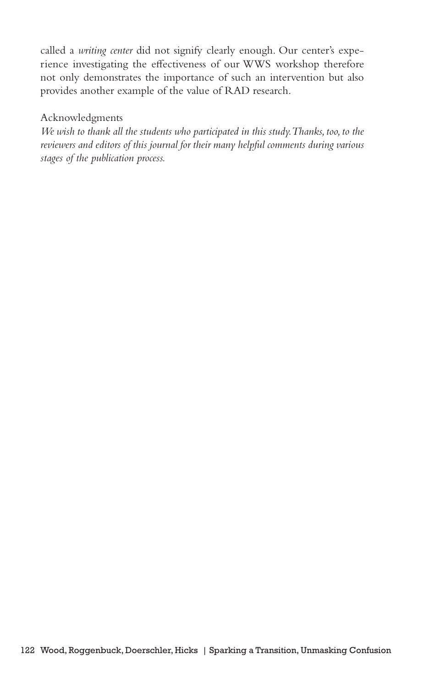called a *writing center* did not signify clearly enough. Our center's experience investigating the effectiveness of our WWS workshop therefore not only demonstrates the importance of such an intervention but also provides another example of the value of RAD research.

### Acknowledgments

*We wish to thank all the students who participated in this study. Thanks, too, to the reviewers and editors of this journal for their many helpful comments during various stages of the publication process.*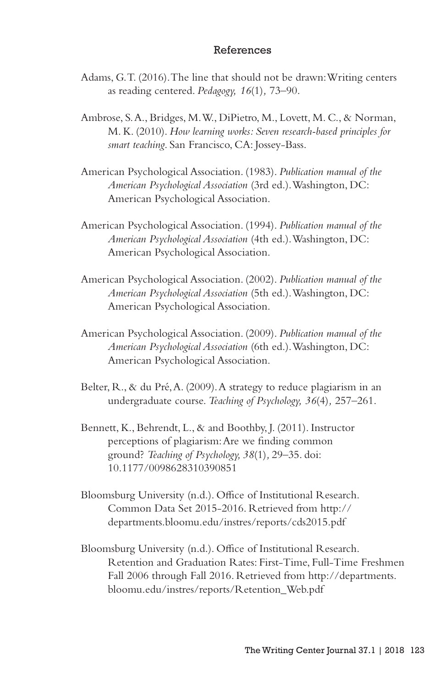#### References

- Adams, G. T. (2016). The line that should not be drawn: Writing centers as reading centered. *Pedagogy, 16*(1)*,* 73–90.
- Ambrose, S. A., Bridges, M. W., DiPietro, M., Lovett, M. C., & Norman, M. K. (2010). *How learning works: Seven research-based principles for smart teaching*. San Francisco, CA: Jossey-Bass.
- American Psychological Association. (1983). *Publication manual of the American Psychological Association* (3rd ed.). Washington, DC: American Psychological Association.
- American Psychological Association. (1994). *Publication manual of the American Psychological Association* (4th ed.). Washington, DC: American Psychological Association.
- American Psychological Association. (2002). *Publication manual of the American Psychological Association* (5th ed.). Washington, DC: American Psychological Association.
- American Psychological Association. (2009). *Publication manual of the American Psychological Association* (6th ed.). Washington, DC: American Psychological Association.
- Belter, R., & du Pré, A. (2009). A strategy to reduce plagiarism in an undergraduate course. *Teaching of Psychology, 36*(4)*,* 257–261.
- Bennett, K., Behrendt, L., & and Boothby, J. (2011). Instructor perceptions of plagiarism: Are we finding common ground? *Teaching of Psychology, 38*(1)*,* 29–35. doi: 10.1177/0098628310390851
- Bloomsburg University (n.d.). Office of Institutional Research. Common Data Set 2015-2016. Retrieved from http:// departments.bloomu.edu/instres/reports/cds2015.pdf
- Bloomsburg University (n.d.). Office of Institutional Research. Retention and Graduation Rates: First-Time, Full-Time Freshmen Fall 2006 through Fall 2016. Retrieved from http://departments. bloomu.edu/instres/reports/Retention\_Web.pdf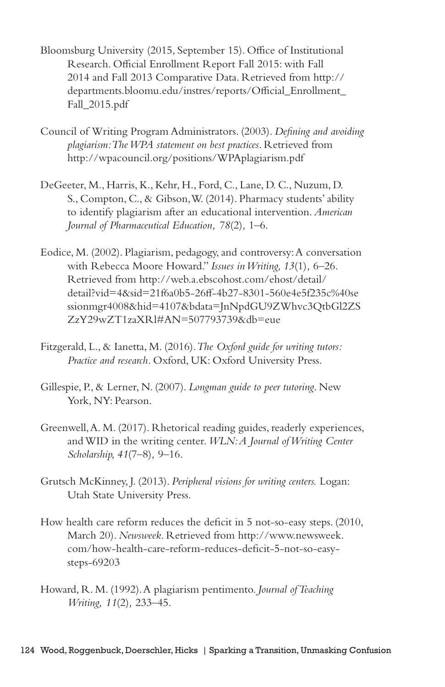- Bloomsburg University (2015, September 15). Office of Institutional Research. Official Enrollment Report Fall 2015: with Fall 2014 and Fall 2013 Comparative Data. Retrieved from http:// departments.bloomu.edu/instres/reports/Official\_Enrollment\_ Fall\_2015.pdf
- Council of Writing Program Administrators. (2003). *Defining and avoiding plagiarism: The WPA statement on best practices*. Retrieved from http://wpacouncil.org/positions/WPAplagiarism.pdf
- DeGeeter, M., Harris, K., Kehr, H., Ford, C., Lane, D. C., Nuzum, D. S., Compton, C., & Gibson, W. (2014). Pharmacy students' ability to identify plagiarism after an educational intervention. *American Journal of Pharmaceutical Education, 78*(2)*,* 1–6.
- Eodice, M. (2002). Plagiarism, pedagogy, and controversy: A conversation with Rebecca Moore Howard." *Issues in Writing, 13*(1)*,* 6–26. Retrieved from http://web.a.ebscohost.com/ehost/detail/ detail?vid=4&sid=21f6a0b5-26ff-4b27-8301-560e4e5f235c%40se ssionmgr4008&hid=4107&bdata=JnNpdGU9ZWhvc3QtbGl2ZS ZzY29wZT1zaXRl#AN=507793739&db=eue
- Fitzgerald, L., & Ianetta, M. (2016)*. The Oxford guide for writing tutors: Practice and research.* Oxford, UK: Oxford University Press.
- Gillespie, P., & Lerner, N. (2007). *Longman guide to peer tutoring*. New York, NY: Pearson.
- Greenwell, A. M. (2017). Rhetorical reading guides, readerly experiences, and WID in the writing center. *WLN: A Journal of Writing Center Scholarship, 41*(7–8)*,* 9–16.
- Grutsch McKinney, J. (2013). *Peripheral visions for writing centers.* Logan: Utah State University Press.
- How health care reform reduces the deficit in 5 not-so-easy steps. (2010, March 20). *Newsweek*. Retrieved from http://www.newsweek. com/how-health-care-reform-reduces-deficit-5-not-so-easysteps-69203
- Howard, R. M. (1992). A plagiarism pentimento. *Journal of Teaching Writing, 11*(2)*,* 233–45.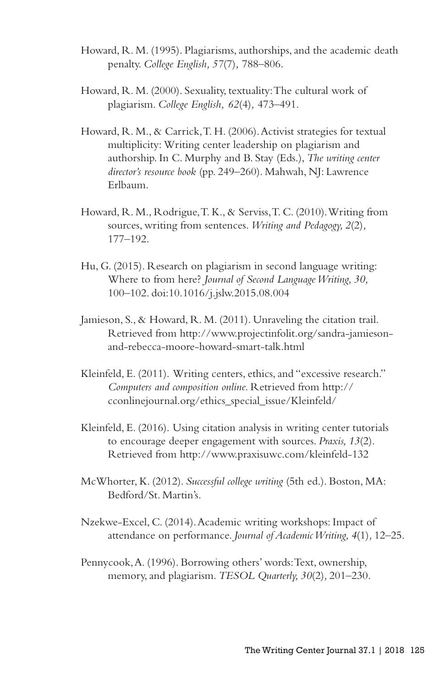- Howard, R. M. (1995). Plagiarisms, authorships, and the academic death penalty. *College English, 57*(7)*,* 788–806.
- Howard, R. M. (2000). Sexuality, textuality: The cultural work of plagiarism. *College English, 62*(4)*,* 473–491.
- Howard, R. M., & Carrick, T. H. (2006). Activist strategies for textual multiplicity: Writing center leadership on plagiarism and authorship. In C. Murphy and B. Stay (Eds.), *The writing center director's resource book* (pp. 249–260). Mahwah, NJ: Lawrence Erlbaum.
- Howard, R. M., Rodrigue, T. K., & Serviss, T. C. (2010). Writing from sources, writing from sentences. *Writing and Pedagogy, 2*(2)*,* 177–192.
- Hu, G. (2015). Research on plagiarism in second language writing: Where to from here? *Journal of Second Language Writing, 30,*  100–102. doi:10.1016/j.jslw.2015.08.004
- Jamieson, S., & Howard, R. M. (2011). Unraveling the citation trail. Retrieved from http://www.projectinfolit.org/sandra-jamiesonand-rebecca-moore-howard-smart-talk.html
- Kleinfeld, E. (2011). Writing centers, ethics, and "excessive research." *Computers and composition online.* Retrieved from http:// cconlinejournal.org/ethics\_special\_issue/Kleinfeld/
- Kleinfeld, E. (2016). Using citation analysis in writing center tutorials to encourage deeper engagement with sources. *Praxis, 13*(2). Retrieved from http://www.praxisuwc.com/kleinfeld-132
- McWhorter, K. (2012). *Successful college writing* (5th ed.). Boston, MA: Bedford/St. Martin's.
- Nzekwe-Excel, C. (2014). Academic writing workshops: Impact of attendance on performance. *Journal of Academic Writing, 4*(1)*,* 12–25.
- Pennycook, A. (1996). Borrowing others' words: Text, ownership, memory, and plagiarism. *TESOL Quarterly, 30*(2)*,* 201–230.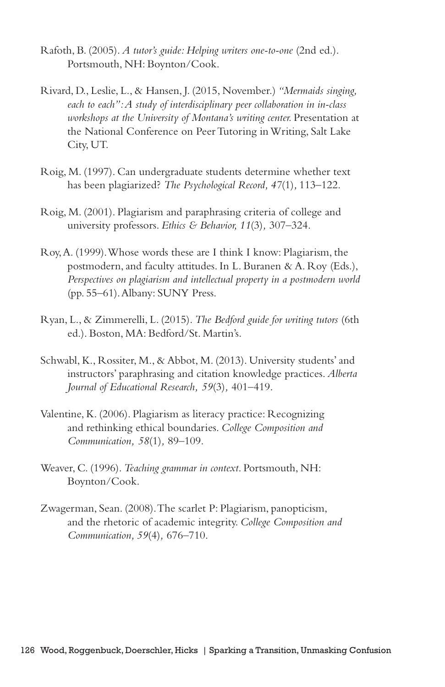- Rafoth, B. (2005). *A tutor's guide: Helping writers one-to-one* (2nd ed.). Portsmouth, NH: Boynton/Cook.
- Rivard, D., Leslie, L., & Hansen, J. (2015, November.) *"Mermaids singing, each to each": A study of interdisciplinary peer collaboration in in-class workshops at the University of Montana's writing center.* Presentation at the National Conference on Peer Tutoring in Writing, Salt Lake City, UT.
- Roig, M. (1997). Can undergraduate students determine whether text has been plagiarized? *The Psychological Record, 47*(1)*,* 113–122.
- Roig, M. (2001). Plagiarism and paraphrasing criteria of college and university professors. *Ethics & Behavior, 11*(3)*,* 307–324.
- Roy, A. (1999). Whose words these are I think I know: Plagiarism, the postmodern, and faculty attitudes. In L. Buranen & A. Roy (Eds.), *Perspectives on plagiarism and intellectual property in a postmodern world* (pp. 55–61). Albany: SUNY Press.
- Ryan, L., & Zimmerelli, L. (2015). *The Bedford guide for writing tutors* (6th ed.). Boston, MA: Bedford/St. Martin's.
- Schwabl, K., Rossiter, M., & Abbot, M. (2013). University students' and instructors' paraphrasing and citation knowledge practices. *Alberta Journal of Educational Research, 59*(3)*,* 401–419.
- Valentine, K. (2006). Plagiarism as literacy practice: Recognizing and rethinking ethical boundaries. *College Composition and Communication, 58*(1)*,* 89–109.
- Weaver, C. (1996). *Teaching grammar in context*. Portsmouth, NH: Boynton/Cook.
- Zwagerman, Sean. (2008). The scarlet P: Plagiarism, panopticism, and the rhetoric of academic integrity. *College Composition and Communication, 59*(4)*,* 676–710.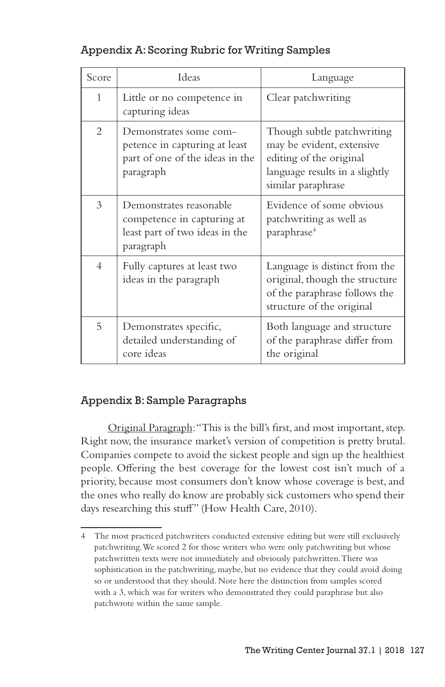# Appendix A: Scoring Rubric for Writing Samples

| Score          | Ideas                                                                                                   | Language                                                                                                                                   |
|----------------|---------------------------------------------------------------------------------------------------------|--------------------------------------------------------------------------------------------------------------------------------------------|
| $\mathbf{1}$   | Little or no competence in<br>capturing ideas                                                           | Clear patchwriting                                                                                                                         |
| 2              | Demonstrates some com-<br>petence in capturing at least<br>part of one of the ideas in the<br>paragraph | Though subtle patchwriting<br>may be evident, extensive<br>editing of the original<br>language results in a slightly<br>similar paraphrase |
| 3              | Demonstrates reasonable<br>competence in capturing at<br>least part of two ideas in the<br>paragraph    | Evidence of some obvious<br>patchwriting as well as<br>paraphrase <sup>4</sup>                                                             |
| $\overline{4}$ | Fully captures at least two<br>ideas in the paragraph                                                   | Language is distinct from the<br>original, though the structure<br>of the paraphrase follows the<br>structure of the original              |
| 5              | Demonstrates specific,<br>detailed understanding of<br>core ideas                                       | Both language and structure<br>of the paraphrase differ from<br>the original                                                               |

# Appendix B: Sample Paragraphs

Original Paragraph: "This is the bill's first, and most important, step. Right now, the insurance market's version of competition is pretty brutal. Companies compete to avoid the sickest people and sign up the healthiest people. Offering the best coverage for the lowest cost isn't much of a priority, because most consumers don't know whose coverage is best, and the ones who really do know are probably sick customers who spend their days researching this stuff" (How Health Care, 2010).

<sup>4</sup> The most practiced patchwriters conducted extensive editing but were still exclusively patchwriting. We scored 2 for those writers who were only patchwriting but whose patchwritten texts were not immediately and obviously patchwritten. There was sophistication in the patchwriting, maybe, but no evidence that they could avoid doing so or understood that they should. Note here the distinction from samples scored with a 3, which was for writers who demonstrated they could paraphrase but also patchwrote within the same sample.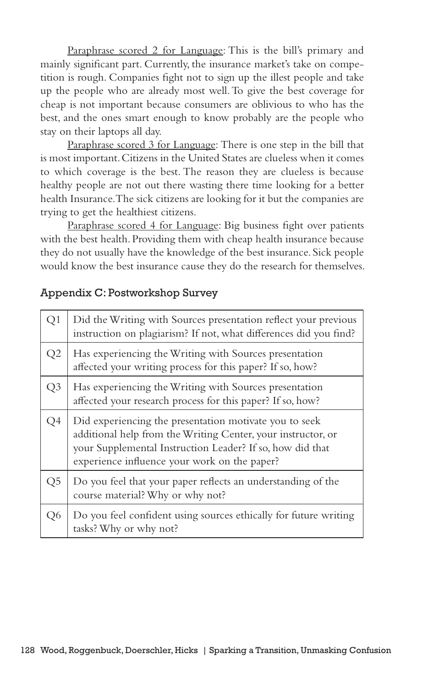Paraphrase scored 2 for Language: This is the bill's primary and mainly significant part. Currently, the insurance market's take on competition is rough. Companies fight not to sign up the illest people and take up the people who are already most well. To give the best coverage for cheap is not important because consumers are oblivious to who has the best, and the ones smart enough to know probably are the people who stay on their laptops all day.

Paraphrase scored 3 for Language: There is one step in the bill that is most important. Citizens in the United States are clueless when it comes to which coverage is the best. The reason they are clueless is because healthy people are not out there wasting there time looking for a better health Insurance. The sick citizens are looking for it but the companies are trying to get the healthiest citizens.

Paraphrase scored 4 for Language: Big business fight over patients with the best health. Providing them with cheap health insurance because they do not usually have the knowledge of the best insurance. Sick people would know the best insurance cause they do the research for themselves.

### Appendix C: Postworkshop Survey

| Q1 | Did the Writing with Sources presentation reflect your previous<br>instruction on plagiarism? If not, what differences did you find?                                                                                                |
|----|-------------------------------------------------------------------------------------------------------------------------------------------------------------------------------------------------------------------------------------|
| Q2 | Has experiencing the Writing with Sources presentation<br>affected your writing process for this paper? If so, how?                                                                                                                 |
| Q3 | Has experiencing the Writing with Sources presentation<br>affected your research process for this paper? If so, how?                                                                                                                |
| Q4 | Did experiencing the presentation motivate you to seek<br>additional help from the Writing Center, your instructor, or<br>your Supplemental Instruction Leader? If so, how did that<br>experience influence your work on the paper? |
| Q5 | Do you feel that your paper reflects an understanding of the<br>course material? Why or why not?                                                                                                                                    |
| Q6 | Do you feel confident using sources ethically for future writing<br>tasks? Why or why not?                                                                                                                                          |